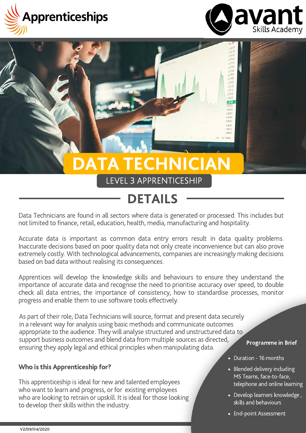



0.06780

8,06400 0.0620 0.06100  $0000$ 

# DATA TECHNICIAN

#### LEVEL 3 APPRENTICESHIP

### DETAILS

Data Technicians are found in all sectors where data is generated or processed. This includes but not limited to finance, retail, education, health, media, manufacturing and hospitality.

Accurate data is important as common data entry errors result in data quality problems. Inaccurate decisions based on poor quality data not only create inconvenience but can also prove extremely costly. With technological advancements, companies are increasingly making decisions based on bad data without realising its consequences.

Apprentices will develop the knowledge skills and behaviours to ensure they understand the importance of accurate data and recognise the need to prioritise accuracy over speed, to double check all data entries, the importance of consistency, how to standardise processes, monitor progress and enable them to use software tools effectively.

As part of their role, Data Technicians will source, format and present data securely in a relevant way for analysis using basic methods and communicate outcomes appropriate to the audience. They will analyse structured and unstructured data to support business outcomes and blend data from multiple sources as directed, ensuring they apply legal and ethical principles when manipulating data.

#### Programme in Brief

Who is this Apprenticeship for?

This apprenticeship is ideal for new and talented employees who want to learn and progress, or for existing employees who are looking to retrain or upskill. It is ideal for those looking to develop their skills within the industry.

- Duration 16 months
- Blended delivery including MS Teams, face-to-face, telephone and online learning
- Develop learners knowledge , skills and behaviours
- End-point Assessment